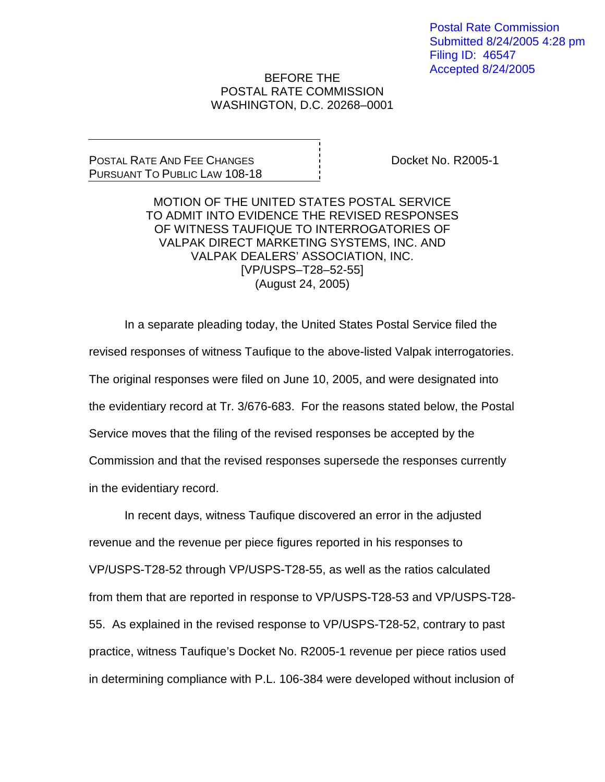Postal Rate Commission Submitted 8/24/2005 4:28 pm Filing ID: 46547 Accepted 8/24/2005

## BEFORE THE POSTAL RATE COMMISSION WASHINGTON, D.C. 20268–0001

## POSTAL RATE AND FEE CHANGES PURSUANT TO PUBLIC LAW 108-18

Docket No. R2005-1

MOTION OF THE UNITED STATES POSTAL SERVICE TO ADMIT INTO EVIDENCE THE REVISED RESPONSES OF WITNESS TAUFIQUE TO INTERROGATORIES OF VALPAK DIRECT MARKETING SYSTEMS, INC. AND VALPAK DEALERS' ASSOCIATION, INC. [VP/USPS–T28–52-55] (August 24, 2005)

In a separate pleading today, the United States Postal Service filed the revised responses of witness Taufique to the above-listed Valpak interrogatories. The original responses were filed on June 10, 2005, and were designated into the evidentiary record at Tr. 3/676-683. For the reasons stated below, the Postal Service moves that the filing of the revised responses be accepted by the Commission and that the revised responses supersede the responses currently in the evidentiary record.

 In recent days, witness Taufique discovered an error in the adjusted revenue and the revenue per piece figures reported in his responses to VP/USPS-T28-52 through VP/USPS-T28-55, as well as the ratios calculated from them that are reported in response to VP/USPS-T28-53 and VP/USPS-T28- 55. As explained in the revised response to VP/USPS-T28-52, contrary to past practice, witness Taufique's Docket No. R2005-1 revenue per piece ratios used in determining compliance with P.L. 106-384 were developed without inclusion of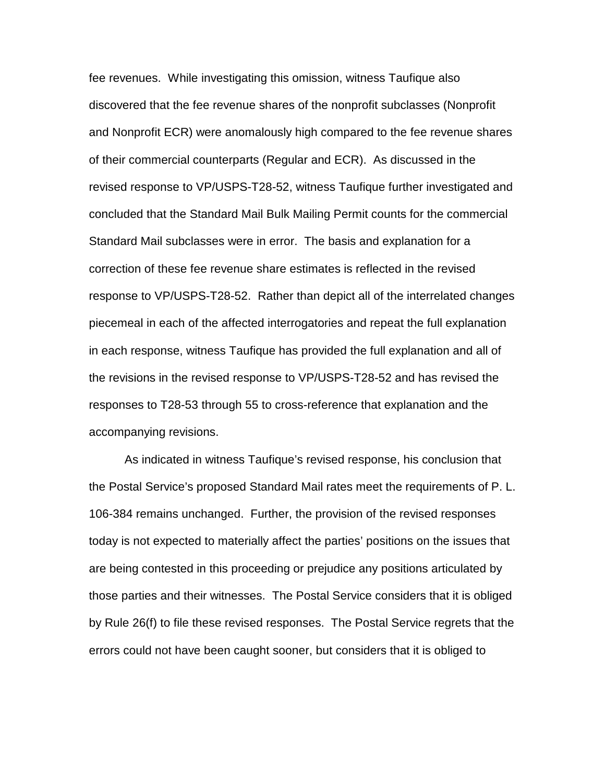fee revenues. While investigating this omission, witness Taufique also discovered that the fee revenue shares of the nonprofit subclasses (Nonprofit and Nonprofit ECR) were anomalously high compared to the fee revenue shares of their commercial counterparts (Regular and ECR). As discussed in the revised response to VP/USPS-T28-52, witness Taufique further investigated and concluded that the Standard Mail Bulk Mailing Permit counts for the commercial Standard Mail subclasses were in error. The basis and explanation for a correction of these fee revenue share estimates is reflected in the revised response to VP/USPS-T28-52. Rather than depict all of the interrelated changes piecemeal in each of the affected interrogatories and repeat the full explanation in each response, witness Taufique has provided the full explanation and all of the revisions in the revised response to VP/USPS-T28-52 and has revised the responses to T28-53 through 55 to cross-reference that explanation and the accompanying revisions.

As indicated in witness Taufique's revised response, his conclusion that the Postal Service's proposed Standard Mail rates meet the requirements of P. L. 106-384 remains unchanged. Further, the provision of the revised responses today is not expected to materially affect the parties' positions on the issues that are being contested in this proceeding or prejudice any positions articulated by those parties and their witnesses. The Postal Service considers that it is obliged by Rule 26(f) to file these revised responses. The Postal Service regrets that the errors could not have been caught sooner, but considers that it is obliged to